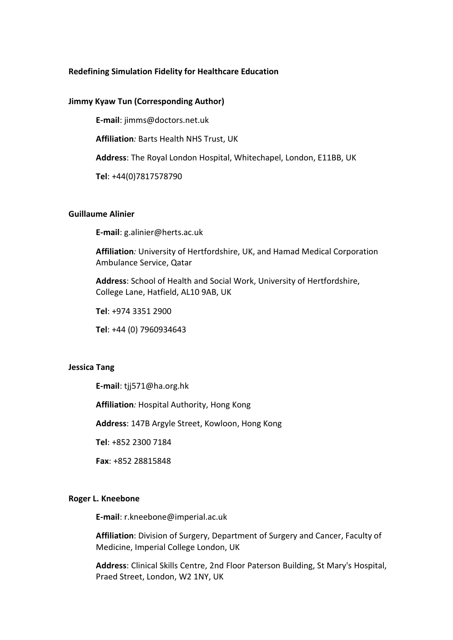### Redefining Simulation Fidelity for Healthcare Education

#### Jimmy Kyaw Tun (Corresponding Author)

E-mail: jimms@doctors.net.uk

Affiliation: Barts Health NHS Trust, UK

Address: The Royal London Hospital, Whitechapel, London, E11BB, UK

Tel: +44(0)7817578790

### Guillaume Alinier

E-mail: g.alinier@herts.ac.uk

Affiliation: University of Hertfordshire, UK, and Hamad Medical Corporation Ambulance Service, Qatar

Address: School of Health and Social Work, University of Hertfordshire, College Lane, Hatfield, AL10 9AB, UK

Tel: +974 3351 2900

Tel: +44 (0) 7960934643

### Jessica Tang

E-mail: tjj571@ha.org.hk

Affiliation: Hospital Authority, Hong Kong

Address: 147B Argyle Street, Kowloon, Hong Kong

Tel: +852 2300 7184

Fax: +852 28815848

# Roger L. Kneebone

E-mail: r.kneebone@imperial.ac.uk

Affiliation: Division of Surgery, Department of Surgery and Cancer, Faculty of Medicine, Imperial College London, UK

Address: Clinical Skills Centre, 2nd Floor Paterson Building, St Mary's Hospital, Praed Street, London, W2 1NY, UK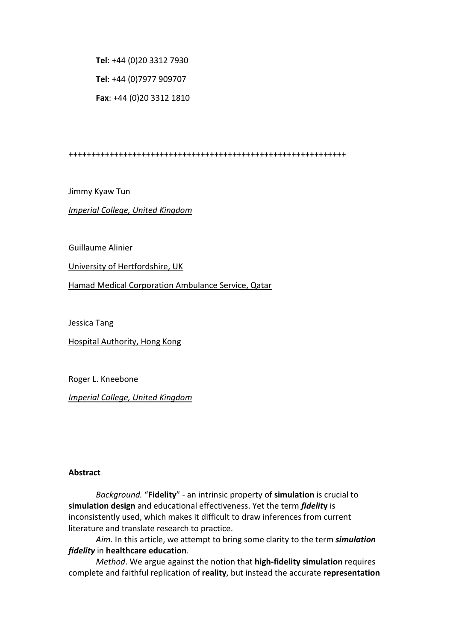Tel: +44 (0)20 3312 7930 Tel: +44 (0)7977 909707 Fax: +44 (0)20 3312 1810

+++++++++++++++++++++++++++++++++++++++++++++++++++++++++++++

Jimmy Kyaw Tun

Imperial College, United Kingdom

Guillaume Alinier

University of Hertfordshire, UK

Hamad Medical Corporation Ambulance Service, Qatar

Jessica Tang

Hospital Authority, Hong Kong

Roger L. Kneebone

Imperial College, United Kingdom

#### Abstract

Background. "Fidelity" - an intrinsic property of simulation is crucial to simulation design and educational effectiveness. Yet the term fidelity is inconsistently used, which makes it difficult to draw inferences from current literature and translate research to practice.

Aim. In this article, we attempt to bring some clarity to the term *simulation* fidelity in healthcare education.

Method. We argue against the notion that high-fidelity simulation requires complete and faithful replication of reality, but instead the accurate representation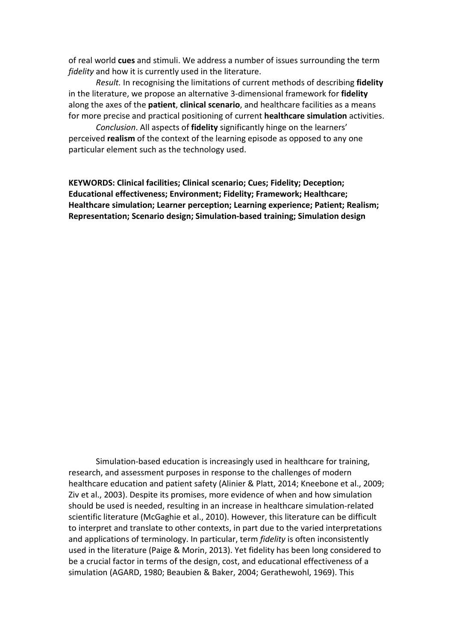of real world cues and stimuli. We address a number of issues surrounding the term fidelity and how it is currently used in the literature.

Result. In recognising the limitations of current methods of describing fidelity in the literature, we propose an alternative 3-dimensional framework for fidelity along the axes of the **patient, clinical scenario**, and healthcare facilities as a means for more precise and practical positioning of current healthcare simulation activities.

Conclusion. All aspects of fidelity significantly hinge on the learners' perceived realism of the context of the learning episode as opposed to any one particular element such as the technology used.

KEYWORDS: Clinical facilities; Clinical scenario; Cues; Fidelity; Deception; Educational effectiveness; Environment; Fidelity; Framework; Healthcare; Healthcare simulation; Learner perception; Learning experience; Patient; Realism; Representation; Scenario design; Simulation-based training; Simulation design

Simulation-based education is increasingly used in healthcare for training, research, and assessment purposes in response to the challenges of modern healthcare education and patient safety (Alinier & Platt, 2014; Kneebone et al., 2009; Ziv et al., 2003). Despite its promises, more evidence of when and how simulation should be used is needed, resulting in an increase in healthcare simulation-related scientific literature (McGaghie et al., 2010). However, this literature can be difficult to interpret and translate to other contexts, in part due to the varied interpretations and applications of terminology. In particular, term fidelity is often inconsistently used in the literature (Paige & Morin, 2013). Yet fidelity has been long considered to be a crucial factor in terms of the design, cost, and educational effectiveness of a simulation (AGARD, 1980; Beaubien & Baker, 2004; Gerathewohl, 1969). This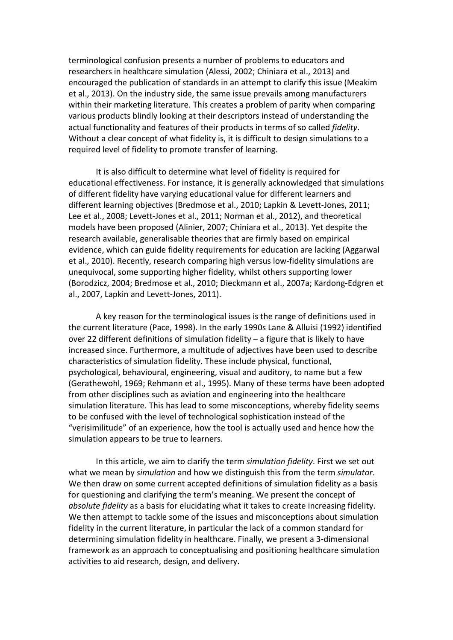terminological confusion presents a number of problems to educators and researchers in healthcare simulation (Alessi, 2002; Chiniara et al., 2013) and encouraged the publication of standards in an attempt to clarify this issue (Meakim et al., 2013). On the industry side, the same issue prevails among manufacturers within their marketing literature. This creates a problem of parity when comparing various products blindly looking at their descriptors instead of understanding the actual functionality and features of their products in terms of so called fidelity. Without a clear concept of what fidelity is, it is difficult to design simulations to a required level of fidelity to promote transfer of learning.

It is also difficult to determine what level of fidelity is required for educational effectiveness. For instance, it is generally acknowledged that simulations of different fidelity have varying educational value for different learners and different learning objectives (Bredmose et al., 2010; Lapkin & Levett-Jones, 2011; Lee et al., 2008; Levett-Jones et al., 2011; Norman et al., 2012), and theoretical models have been proposed (Alinier, 2007; Chiniara et al., 2013). Yet despite the research available, generalisable theories that are firmly based on empirical evidence, which can guide fidelity requirements for education are lacking (Aggarwal et al., 2010). Recently, research comparing high versus low-fidelity simulations are unequivocal, some supporting higher fidelity, whilst others supporting lower (Borodzicz, 2004; Bredmose et al., 2010; Dieckmann et al., 2007a; Kardong-Edgren et al., 2007, Lapkin and Levett-Jones, 2011).

A key reason for the terminological issues is the range of definitions used in the current literature (Pace, 1998). In the early 1990s Lane & Alluisi (1992) identified over 22 different definitions of simulation fidelity – a figure that is likely to have increased since. Furthermore, a multitude of adjectives have been used to describe characteristics of simulation fidelity. These include physical, functional, psychological, behavioural, engineering, visual and auditory, to name but a few (Gerathewohl, 1969; Rehmann et al., 1995). Many of these terms have been adopted from other disciplines such as aviation and engineering into the healthcare simulation literature. This has lead to some misconceptions, whereby fidelity seems to be confused with the level of technological sophistication instead of the "verisimilitude" of an experience, how the tool is actually used and hence how the simulation appears to be true to learners.

In this article, we aim to clarify the term simulation fidelity. First we set out what we mean by simulation and how we distinguish this from the term simulator. We then draw on some current accepted definitions of simulation fidelity as a basis for questioning and clarifying the term's meaning. We present the concept of absolute fidelity as a basis for elucidating what it takes to create increasing fidelity. We then attempt to tackle some of the issues and misconceptions about simulation fidelity in the current literature, in particular the lack of a common standard for determining simulation fidelity in healthcare. Finally, we present a 3-dimensional framework as an approach to conceptualising and positioning healthcare simulation activities to aid research, design, and delivery.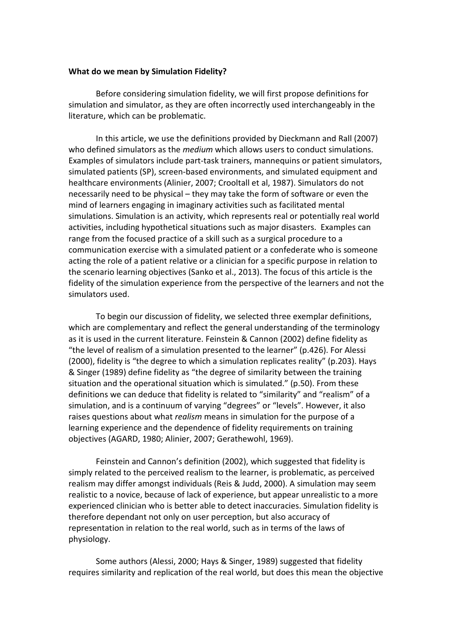### What do we mean by Simulation Fidelity?

Before considering simulation fidelity, we will first propose definitions for simulation and simulator, as they are often incorrectly used interchangeably in the literature, which can be problematic.

In this article, we use the definitions provided by Dieckmann and Rall (2007) who defined simulators as the *medium* which allows users to conduct simulations. Examples of simulators include part-task trainers, mannequins or patient simulators, simulated patients (SP), screen-based environments, and simulated equipment and healthcare environments (Alinier, 2007; Crooltall et al, 1987). Simulators do not necessarily need to be physical – they may take the form of software or even the mind of learners engaging in imaginary activities such as facilitated mental simulations. Simulation is an activity, which represents real or potentially real world activities, including hypothetical situations such as major disasters. Examples can range from the focused practice of a skill such as a surgical procedure to a communication exercise with a simulated patient or a confederate who is someone acting the role of a patient relative or a clinician for a specific purpose in relation to the scenario learning objectives (Sanko et al., 2013). The focus of this article is the fidelity of the simulation experience from the perspective of the learners and not the simulators used.

To begin our discussion of fidelity, we selected three exemplar definitions, which are complementary and reflect the general understanding of the terminology as it is used in the current literature. Feinstein & Cannon (2002) define fidelity as "the level of realism of a simulation presented to the learner" (p.426). For Alessi (2000), fidelity is "the degree to which a simulation replicates reality" (p.203). Hays & Singer (1989) define fidelity as "the degree of similarity between the training situation and the operational situation which is simulated." (p.50). From these definitions we can deduce that fidelity is related to "similarity" and "realism" of a simulation, and is a continuum of varying "degrees" or "levels". However, it also raises questions about what realism means in simulation for the purpose of a learning experience and the dependence of fidelity requirements on training objectives (AGARD, 1980; Alinier, 2007; Gerathewohl, 1969).

Feinstein and Cannon's definition (2002), which suggested that fidelity is simply related to the perceived realism to the learner, is problematic, as perceived realism may differ amongst individuals (Reis & Judd, 2000). A simulation may seem realistic to a novice, because of lack of experience, but appear unrealistic to a more experienced clinician who is better able to detect inaccuracies. Simulation fidelity is therefore dependant not only on user perception, but also accuracy of representation in relation to the real world, such as in terms of the laws of physiology.

Some authors (Alessi, 2000; Hays & Singer, 1989) suggested that fidelity requires similarity and replication of the real world, but does this mean the objective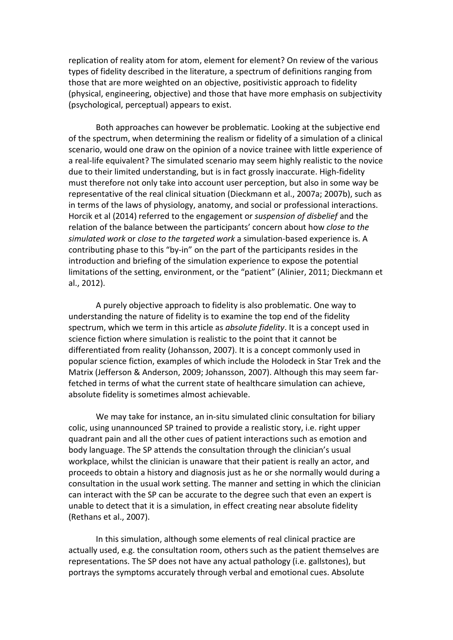replication of reality atom for atom, element for element? On review of the various types of fidelity described in the literature, a spectrum of definitions ranging from those that are more weighted on an objective, positivistic approach to fidelity (physical, engineering, objective) and those that have more emphasis on subjectivity (psychological, perceptual) appears to exist.

Both approaches can however be problematic. Looking at the subjective end of the spectrum, when determining the realism or fidelity of a simulation of a clinical scenario, would one draw on the opinion of a novice trainee with little experience of a real-life equivalent? The simulated scenario may seem highly realistic to the novice due to their limited understanding, but is in fact grossly inaccurate. High-fidelity must therefore not only take into account user perception, but also in some way be representative of the real clinical situation (Dieckmann et al., 2007a; 2007b), such as in terms of the laws of physiology, anatomy, and social or professional interactions. Horcik et al (2014) referred to the engagement or suspension of disbelief and the relation of the balance between the participants' concern about how close to the simulated work or close to the targeted work a simulation-based experience is. A contributing phase to this "by-in" on the part of the participants resides in the introduction and briefing of the simulation experience to expose the potential limitations of the setting, environment, or the "patient" (Alinier, 2011; Dieckmann et al., 2012).

A purely objective approach to fidelity is also problematic. One way to understanding the nature of fidelity is to examine the top end of the fidelity spectrum, which we term in this article as absolute fidelity. It is a concept used in science fiction where simulation is realistic to the point that it cannot be differentiated from reality (Johansson, 2007). It is a concept commonly used in popular science fiction, examples of which include the Holodeck in Star Trek and the Matrix (Jefferson & Anderson, 2009; Johansson, 2007). Although this may seem farfetched in terms of what the current state of healthcare simulation can achieve, absolute fidelity is sometimes almost achievable.

We may take for instance, an in-situ simulated clinic consultation for biliary colic, using unannounced SP trained to provide a realistic story, i.e. right upper quadrant pain and all the other cues of patient interactions such as emotion and body language. The SP attends the consultation through the clinician's usual workplace, whilst the clinician is unaware that their patient is really an actor, and proceeds to obtain a history and diagnosis just as he or she normally would during a consultation in the usual work setting. The manner and setting in which the clinician can interact with the SP can be accurate to the degree such that even an expert is unable to detect that it is a simulation, in effect creating near absolute fidelity (Rethans et al., 2007).

In this simulation, although some elements of real clinical practice are actually used, e.g. the consultation room, others such as the patient themselves are representations. The SP does not have any actual pathology (i.e. gallstones), but portrays the symptoms accurately through verbal and emotional cues. Absolute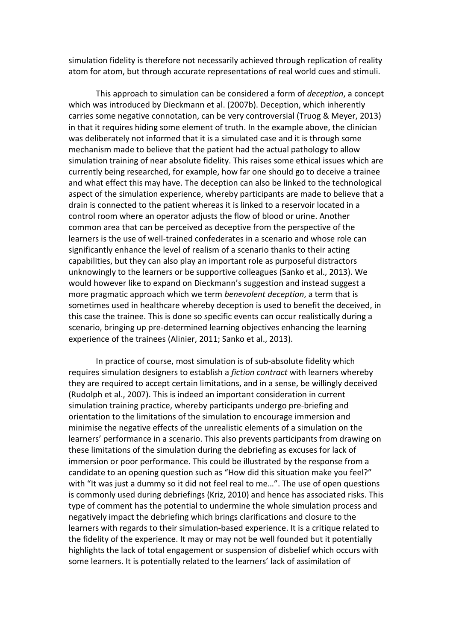simulation fidelity is therefore not necessarily achieved through replication of reality atom for atom, but through accurate representations of real world cues and stimuli.

This approach to simulation can be considered a form of deception, a concept which was introduced by Dieckmann et al. (2007b). Deception, which inherently carries some negative connotation, can be very controversial (Truog & Meyer, 2013) in that it requires hiding some element of truth. In the example above, the clinician was deliberately not informed that it is a simulated case and it is through some mechanism made to believe that the patient had the actual pathology to allow simulation training of near absolute fidelity. This raises some ethical issues which are currently being researched, for example, how far one should go to deceive a trainee and what effect this may have. The deception can also be linked to the technological aspect of the simulation experience, whereby participants are made to believe that a drain is connected to the patient whereas it is linked to a reservoir located in a control room where an operator adjusts the flow of blood or urine. Another common area that can be perceived as deceptive from the perspective of the learners is the use of well-trained confederates in a scenario and whose role can significantly enhance the level of realism of a scenario thanks to their acting capabilities, but they can also play an important role as purposeful distractors unknowingly to the learners or be supportive colleagues (Sanko et al., 2013). We would however like to expand on Dieckmann's suggestion and instead suggest a more pragmatic approach which we term benevolent deception, a term that is sometimes used in healthcare whereby deception is used to benefit the deceived, in this case the trainee. This is done so specific events can occur realistically during a scenario, bringing up pre-determined learning objectives enhancing the learning experience of the trainees (Alinier, 2011; Sanko et al., 2013).

In practice of course, most simulation is of sub-absolute fidelity which requires simulation designers to establish a fiction contract with learners whereby they are required to accept certain limitations, and in a sense, be willingly deceived (Rudolph et al., 2007). This is indeed an important consideration in current simulation training practice, whereby participants undergo pre-briefing and orientation to the limitations of the simulation to encourage immersion and minimise the negative effects of the unrealistic elements of a simulation on the learners' performance in a scenario. This also prevents participants from drawing on these limitations of the simulation during the debriefing as excuses for lack of immersion or poor performance. This could be illustrated by the response from a candidate to an opening question such as "How did this situation make you feel?" with "It was just a dummy so it did not feel real to me...". The use of open questions is commonly used during debriefings (Kriz, 2010) and hence has associated risks. This type of comment has the potential to undermine the whole simulation process and negatively impact the debriefing which brings clarifications and closure to the learners with regards to their simulation-based experience. It is a critique related to the fidelity of the experience. It may or may not be well founded but it potentially highlights the lack of total engagement or suspension of disbelief which occurs with some learners. It is potentially related to the learners' lack of assimilation of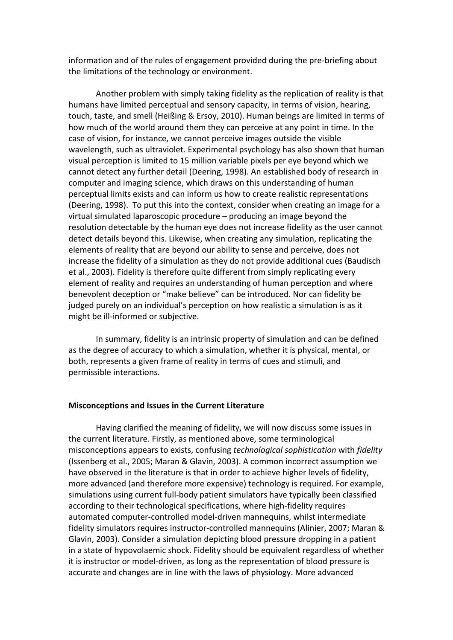information and of the rules of engagement provided during the pre-briefing about the limitations of the technology or environment.

Another problem with simply taking fidelity as the replication of reality is that humans have limited perceptual and sensory capacity, in terms of vision, hearing, touch, taste, and smell (Heißing & Ersoy, 2010). Human beings are limited in terms of how much of the world around them they can perceive at any point in time. In the case of vision, for instance, we cannot perceive images outside the visible wavelength, such as ultraviolet. Experimental psychology has also shown that human visual perception is limited to 15 million variable pixels per eye beyond which we cannot detect any further detail (Deering, 1998). An established body of research in computer and imaging science, which draws on this understanding of human perceptual limits exists and can inform us how to create realistic representations (Deering, 1998). To put this into the context, consider when creating an image for a virtual simulated laparoscopic procedure – producing an image beyond the resolution detectable by the human eye does not increase fidelity as the user cannot detect details beyond this. Likewise, when creating any simulation, replicating the elements of reality that are beyond our ability to sense and perceive, does not increase the fidelity of a simulation as they do not provide additional cues (Baudisch et al., 2003). Fidelity is therefore quite different from simply replicating every element of reality and requires an understanding of human perception and where benevolent deception or "make believe" can be introduced. Nor can fidelity be judged purely on an individual's perception on how realistic a simulation is as it might be ill-informed or subjective.

In summary, fidelity is an intrinsic property of simulation and can be defined as the degree of accuracy to which a simulation, whether it is physical, mental, or both, represents a given frame of reality in terms of cues and stimuli, and permissible interactions.

### Misconceptions and Issues in the Current Literature

Having clarified the meaning of fidelity, we will now discuss some issues in the current literature. Firstly, as mentioned above, some terminological misconceptions appears to exists, confusing technological sophistication with fidelity (Issenberg et al., 2005; Maran & Glavin, 2003). A common incorrect assumption we have observed in the literature is that in order to achieve higher levels of fidelity, more advanced (and therefore more expensive) technology is required. For example, simulations using current full-body patient simulators have typically been classified according to their technological specifications, where high-fidelity requires automated computer-controlled model-driven mannequins, whilst intermediate fidelity simulators requires instructor-controlled mannequins (Alinier, 2007; Maran & Glavin, 2003). Consider a simulation depicting blood pressure dropping in a patient in a state of hypovolaemic shock. Fidelity should be equivalent regardless of whether it is instructor or model-driven, as long as the representation of blood pressure is accurate and changes are in line with the laws of physiology. More advanced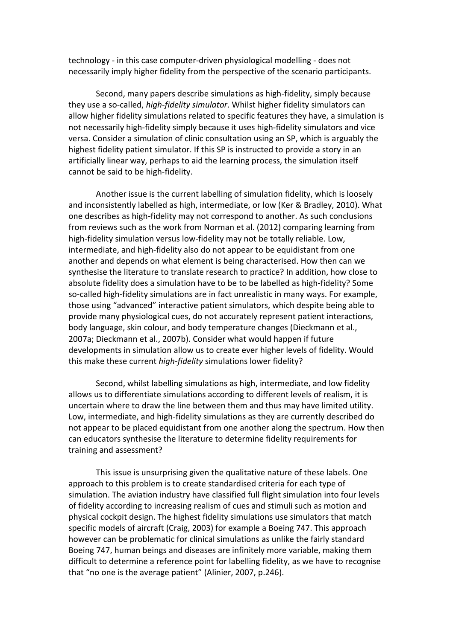technology - in this case computer-driven physiological modelling - does not necessarily imply higher fidelity from the perspective of the scenario participants.

Second, many papers describe simulations as high-fidelity, simply because they use a so-called, high-fidelity simulator. Whilst higher fidelity simulators can allow higher fidelity simulations related to specific features they have, a simulation is not necessarily high-fidelity simply because it uses high-fidelity simulators and vice versa. Consider a simulation of clinic consultation using an SP, which is arguably the highest fidelity patient simulator. If this SP is instructed to provide a story in an artificially linear way, perhaps to aid the learning process, the simulation itself cannot be said to be high-fidelity.

Another issue is the current labelling of simulation fidelity, which is loosely and inconsistently labelled as high, intermediate, or low (Ker & Bradley, 2010). What one describes as high-fidelity may not correspond to another. As such conclusions from reviews such as the work from Norman et al. (2012) comparing learning from high-fidelity simulation versus low-fidelity may not be totally reliable. Low, intermediate, and high-fidelity also do not appear to be equidistant from one another and depends on what element is being characterised. How then can we synthesise the literature to translate research to practice? In addition, how close to absolute fidelity does a simulation have to be to be labelled as high-fidelity? Some so-called high-fidelity simulations are in fact unrealistic in many ways. For example, those using "advanced" interactive patient simulators, which despite being able to provide many physiological cues, do not accurately represent patient interactions, body language, skin colour, and body temperature changes (Dieckmann et al., 2007a; Dieckmann et al., 2007b). Consider what would happen if future developments in simulation allow us to create ever higher levels of fidelity. Would this make these current high-fidelity simulations lower fidelity?

Second, whilst labelling simulations as high, intermediate, and low fidelity allows us to differentiate simulations according to different levels of realism, it is uncertain where to draw the line between them and thus may have limited utility. Low, intermediate, and high-fidelity simulations as they are currently described do not appear to be placed equidistant from one another along the spectrum. How then can educators synthesise the literature to determine fidelity requirements for training and assessment?

This issue is unsurprising given the qualitative nature of these labels. One approach to this problem is to create standardised criteria for each type of simulation. The aviation industry have classified full flight simulation into four levels of fidelity according to increasing realism of cues and stimuli such as motion and physical cockpit design. The highest fidelity simulations use simulators that match specific models of aircraft (Craig, 2003) for example a Boeing 747. This approach however can be problematic for clinical simulations as unlike the fairly standard Boeing 747, human beings and diseases are infinitely more variable, making them difficult to determine a reference point for labelling fidelity, as we have to recognise that "no one is the average patient" (Alinier, 2007, p.246).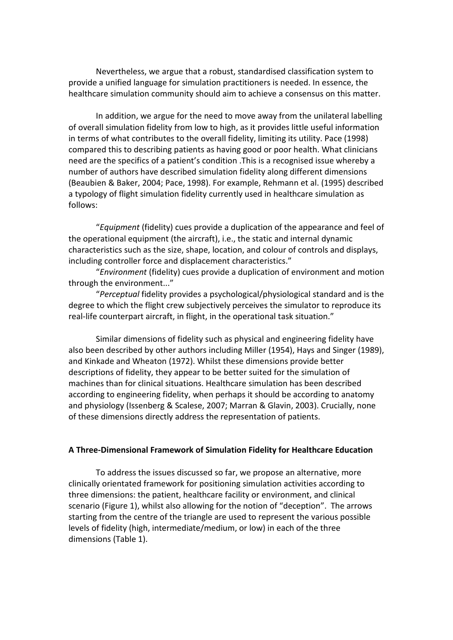Nevertheless, we argue that a robust, standardised classification system to provide a unified language for simulation practitioners is needed. In essence, the healthcare simulation community should aim to achieve a consensus on this matter.

In addition, we argue for the need to move away from the unilateral labelling of overall simulation fidelity from low to high, as it provides little useful information in terms of what contributes to the overall fidelity, limiting its utility. Pace (1998) compared this to describing patients as having good or poor health. What clinicians need are the specifics of a patient's condition .This is a recognised issue whereby a number of authors have described simulation fidelity along different dimensions (Beaubien & Baker, 2004; Pace, 1998). For example, Rehmann et al. (1995) described a typology of flight simulation fidelity currently used in healthcare simulation as follows:

"Equipment (fidelity) cues provide a duplication of the appearance and feel of the operational equipment (the aircraft), i.e., the static and internal dynamic characteristics such as the size, shape, location, and colour of controls and displays, including controller force and displacement characteristics."

"Environment (fidelity) cues provide a duplication of environment and motion through the environment..."

"Perceptual fidelity provides a psychological/physiological standard and is the degree to which the flight crew subjectively perceives the simulator to reproduce its real-life counterpart aircraft, in flight, in the operational task situation."

Similar dimensions of fidelity such as physical and engineering fidelity have also been described by other authors including Miller (1954), Hays and Singer (1989), and Kinkade and Wheaton (1972). Whilst these dimensions provide better descriptions of fidelity, they appear to be better suited for the simulation of machines than for clinical situations. Healthcare simulation has been described according to engineering fidelity, when perhaps it should be according to anatomy and physiology (Issenberg & Scalese, 2007; Marran & Glavin, 2003). Crucially, none of these dimensions directly address the representation of patients.

#### A Three-Dimensional Framework of Simulation Fidelity for Healthcare Education

To address the issues discussed so far, we propose an alternative, more clinically orientated framework for positioning simulation activities according to three dimensions: the patient, healthcare facility or environment, and clinical scenario (Figure 1), whilst also allowing for the notion of "deception". The arrows starting from the centre of the triangle are used to represent the various possible levels of fidelity (high, intermediate/medium, or low) in each of the three dimensions (Table 1).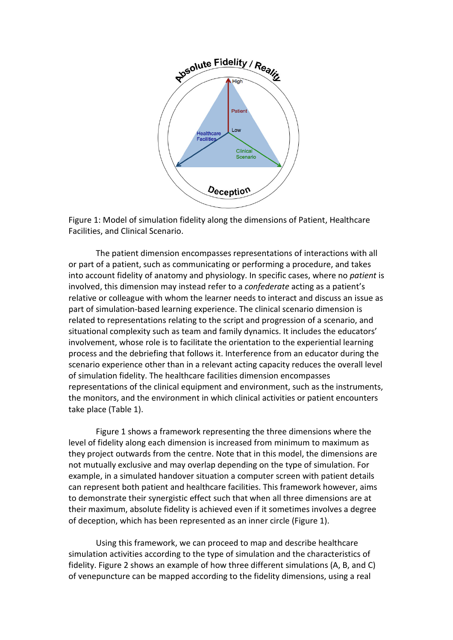

Figure 1: Model of simulation fidelity along the dimensions of Patient, Healthcare Facilities, and Clinical Scenario.

The patient dimension encompasses representations of interactions with all or part of a patient, such as communicating or performing a procedure, and takes into account fidelity of anatomy and physiology. In specific cases, where no patient is involved, this dimension may instead refer to a confederate acting as a patient's relative or colleague with whom the learner needs to interact and discuss an issue as part of simulation-based learning experience. The clinical scenario dimension is related to representations relating to the script and progression of a scenario, and situational complexity such as team and family dynamics. It includes the educators' involvement, whose role is to facilitate the orientation to the experiential learning process and the debriefing that follows it. Interference from an educator during the scenario experience other than in a relevant acting capacity reduces the overall level of simulation fidelity. The healthcare facilities dimension encompasses representations of the clinical equipment and environment, such as the instruments, the monitors, and the environment in which clinical activities or patient encounters take place (Table 1).

Figure 1 shows a framework representing the three dimensions where the level of fidelity along each dimension is increased from minimum to maximum as they project outwards from the centre. Note that in this model, the dimensions are not mutually exclusive and may overlap depending on the type of simulation. For example, in a simulated handover situation a computer screen with patient details can represent both patient and healthcare facilities. This framework however, aims to demonstrate their synergistic effect such that when all three dimensions are at their maximum, absolute fidelity is achieved even if it sometimes involves a degree of deception, which has been represented as an inner circle (Figure 1).

Using this framework, we can proceed to map and describe healthcare simulation activities according to the type of simulation and the characteristics of fidelity. Figure 2 shows an example of how three different simulations (A, B, and C) of venepuncture can be mapped according to the fidelity dimensions, using a real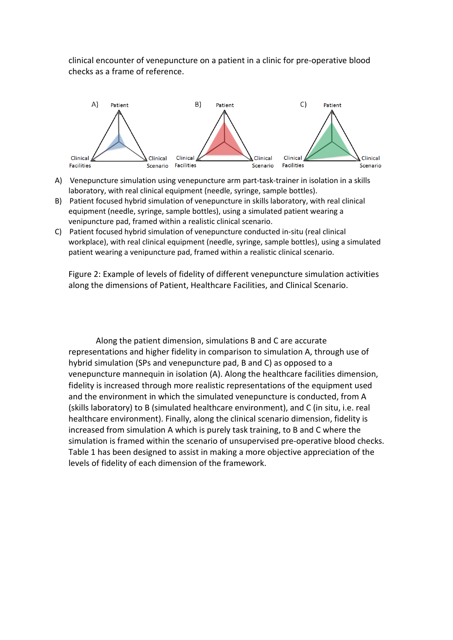clinical encounter of venepuncture on a patient in a clinic for pre-operative blood checks as a frame of reference.



- A) Venepuncture simulation using venepuncture arm part-task-trainer in isolation in a skills laboratory, with real clinical equipment (needle, syringe, sample bottles).
- B) Patient focused hybrid simulation of venepuncture in skills laboratory, with real clinical equipment (needle, syringe, sample bottles), using a simulated patient wearing a venipuncture pad, framed within a realistic clinical scenario.
- C) Patient focused hybrid simulation of venepuncture conducted in-situ (real clinical workplace), with real clinical equipment (needle, syringe, sample bottles), using a simulated patient wearing a venipuncture pad, framed within a realistic clinical scenario.

Figure 2: Example of levels of fidelity of different venepuncture simulation activities along the dimensions of Patient, Healthcare Facilities, and Clinical Scenario.

Along the patient dimension, simulations B and C are accurate representations and higher fidelity in comparison to simulation A, through use of hybrid simulation (SPs and venepuncture pad, B and C) as opposed to a venepuncture mannequin in isolation (A). Along the healthcare facilities dimension, fidelity is increased through more realistic representations of the equipment used and the environment in which the simulated venepuncture is conducted, from A (skills laboratory) to B (simulated healthcare environment), and C (in situ, i.e. real healthcare environment). Finally, along the clinical scenario dimension, fidelity is increased from simulation A which is purely task training, to B and C where the simulation is framed within the scenario of unsupervised pre-operative blood checks. Table 1 has been designed to assist in making a more objective appreciation of the levels of fidelity of each dimension of the framework.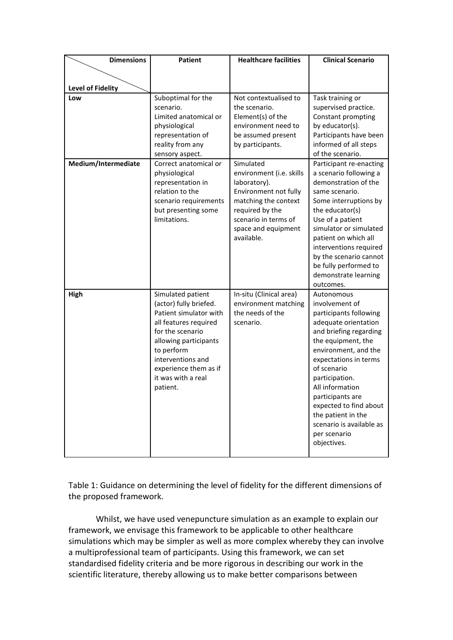| <b>Dimensions</b>   | <b>Patient</b>                                                                                                                                                                                                                            | <b>Healthcare facilities</b>                                                                                                                                                           | <b>Clinical Scenario</b>                                                                                                                                                                                                                                                                                                                                           |
|---------------------|-------------------------------------------------------------------------------------------------------------------------------------------------------------------------------------------------------------------------------------------|----------------------------------------------------------------------------------------------------------------------------------------------------------------------------------------|--------------------------------------------------------------------------------------------------------------------------------------------------------------------------------------------------------------------------------------------------------------------------------------------------------------------------------------------------------------------|
|                     |                                                                                                                                                                                                                                           |                                                                                                                                                                                        |                                                                                                                                                                                                                                                                                                                                                                    |
| Level of Fidelity   |                                                                                                                                                                                                                                           |                                                                                                                                                                                        |                                                                                                                                                                                                                                                                                                                                                                    |
| Low                 | Suboptimal for the<br>scenario.<br>Limited anatomical or<br>physiological<br>representation of<br>reality from any<br>sensory aspect.                                                                                                     | Not contextualised to<br>the scenario.<br>Element(s) of the<br>environment need to<br>be assumed present<br>by participants.                                                           | Task training or<br>supervised practice.<br>Constant prompting<br>by educator(s).<br>Participants have been<br>informed of all steps<br>of the scenario.                                                                                                                                                                                                           |
| Medium/Intermediate | Correct anatomical or<br>physiological<br>representation in<br>relation to the<br>scenario requirements<br>but presenting some<br>limitations.                                                                                            | Simulated<br>environment (i.e. skills<br>laboratory).<br>Environment not fully<br>matching the context<br>required by the<br>scenario in terms of<br>space and equipment<br>available. | Participant re-enacting<br>a scenario following a<br>demonstration of the<br>same scenario.<br>Some interruptions by<br>the educator(s)<br>Use of a patient<br>simulator or simulated<br>patient on which all<br>interventions required<br>by the scenario cannot<br>be fully performed to<br>demonstrate learning<br>outcomes.                                    |
| High                | Simulated patient<br>(actor) fully briefed.<br>Patient simulator with<br>all features required<br>for the scenario<br>allowing participants<br>to perform<br>interventions and<br>experience them as if<br>it was with a real<br>patient. | In-situ (Clinical area)<br>environment matching<br>the needs of the<br>scenario.                                                                                                       | Autonomous<br>involvement of<br>participants following<br>adequate orientation<br>and briefing regarding<br>the equipment, the<br>environment, and the<br>expectations in terms<br>of scenario<br>participation.<br>All information<br>participants are<br>expected to find about<br>the patient in the<br>scenario is available as<br>per scenario<br>objectives. |

Table 1: Guidance on determining the level of fidelity for the different dimensions of the proposed framework.

Whilst, we have used venepuncture simulation as an example to explain our framework, we envisage this framework to be applicable to other healthcare simulations which may be simpler as well as more complex whereby they can involve a multiprofessional team of participants. Using this framework, we can set standardised fidelity criteria and be more rigorous in describing our work in the scientific literature, thereby allowing us to make better comparisons between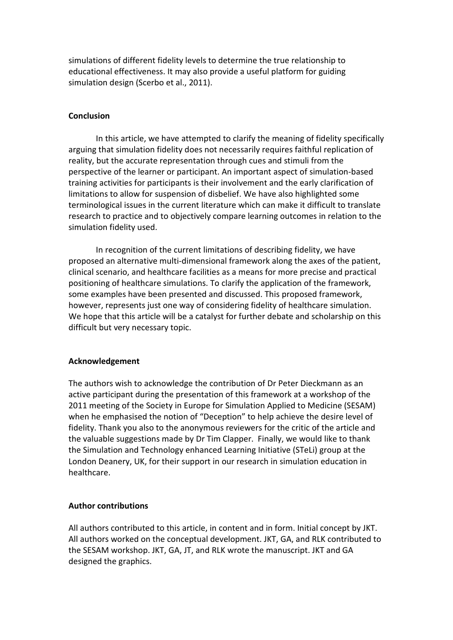simulations of different fidelity levels to determine the true relationship to educational effectiveness. It may also provide a useful platform for guiding simulation design (Scerbo et al., 2011).

# **Conclusion**

In this article, we have attempted to clarify the meaning of fidelity specifically arguing that simulation fidelity does not necessarily requires faithful replication of reality, but the accurate representation through cues and stimuli from the perspective of the learner or participant. An important aspect of simulation-based training activities for participants is their involvement and the early clarification of limitations to allow for suspension of disbelief. We have also highlighted some terminological issues in the current literature which can make it difficult to translate research to practice and to objectively compare learning outcomes in relation to the simulation fidelity used.

In recognition of the current limitations of describing fidelity, we have proposed an alternative multi-dimensional framework along the axes of the patient, clinical scenario, and healthcare facilities as a means for more precise and practical positioning of healthcare simulations. To clarify the application of the framework, some examples have been presented and discussed. This proposed framework, however, represents just one way of considering fidelity of healthcare simulation. We hope that this article will be a catalyst for further debate and scholarship on this difficult but very necessary topic.

# Acknowledgement

The authors wish to acknowledge the contribution of Dr Peter Dieckmann as an active participant during the presentation of this framework at a workshop of the 2011 meeting of the Society in Europe for Simulation Applied to Medicine (SESAM) when he emphasised the notion of "Deception" to help achieve the desire level of fidelity. Thank you also to the anonymous reviewers for the critic of the article and the valuable suggestions made by Dr Tim Clapper. Finally, we would like to thank the Simulation and Technology enhanced Learning Initiative (STeLi) group at the London Deanery, UK, for their support in our research in simulation education in healthcare.

# Author contributions

All authors contributed to this article, in content and in form. Initial concept by JKT. All authors worked on the conceptual development. JKT, GA, and RLK contributed to the SESAM workshop. JKT, GA, JT, and RLK wrote the manuscript. JKT and GA designed the graphics.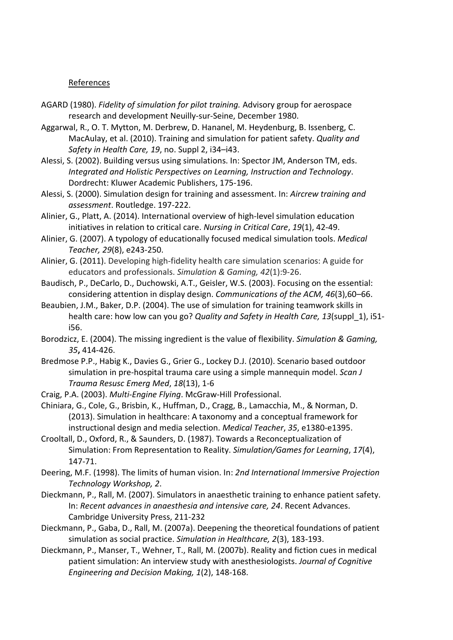### References

- AGARD (1980). Fidelity of simulation for pilot training. Advisory group for aerospace research and development Neuilly-sur-Seine, December 1980.
- Aggarwal, R., O. T. Mytton, M. Derbrew, D. Hananel, M. Heydenburg, B. Issenberg, C. MacAulay, et al. (2010). Training and simulation for patient safety. Quality and Safety in Health Care, 19, no. Suppl 2, i34–i43.
- Alessi, S. (2002). Building versus using simulations. In: Spector JM, Anderson TM, eds. Integrated and Holistic Perspectives on Learning, Instruction and Technology. Dordrecht: Kluwer Academic Publishers, 175-196.
- Alessi, S. (2000). Simulation design for training and assessment. In: Aircrew training and assessment. Routledge. 197-222.
- Alinier, G., Platt, A. (2014). International overview of high-level simulation education initiatives in relation to critical care. Nursing in Critical Care, 19(1), 42-49.
- Alinier, G. (2007). A typology of educationally focused medical simulation tools. Medical Teacher, 29(8), e243-250.
- Alinier, G. (2011). Developing high-fidelity health care simulation scenarios: A guide for educators and professionals. Simulation & Gaming, 42(1):9-26.
- Baudisch, P., DeCarlo, D., Duchowski, A.T., Geisler, W.S. (2003). Focusing on the essential: considering attention in display design. Communications of the ACM, 46(3),60–66.
- Beaubien, J.M., Baker, D.P. (2004). The use of simulation for training teamwork skills in health care: how low can you go? Quality and Safety in Health Care, 13(suppl 1), i51i56.
- Borodzicz, E. (2004). The missing ingredient is the value of flexibility. Simulation & Gaming, 35, 414-426.
- Bredmose P.P., Habig K., Davies G., Grier G., Lockey D.J. (2010). Scenario based outdoor simulation in pre-hospital trauma care using a simple mannequin model. Scan J Trauma Resusc Emerg Med, 18(13), 1-6
- Craig, P.A. (2003). Multi-Engine Flying. McGraw-Hill Professional.
- Chiniara, G., Cole, G., Brisbin, K., Huffman, D., Cragg, B., Lamacchia, M., & Norman, D. (2013). Simulation in healthcare: A taxonomy and a conceptual framework for instructional design and media selection. Medical Teacher, 35, e1380-e1395.
- Crooltall, D., Oxford, R., & Saunders, D. (1987). Towards a Reconceptualization of Simulation: From Representation to Reality. Simulation/Games for Learning, 17(4), 147-71.
- Deering, M.F. (1998). The limits of human vision. In: 2nd International Immersive Projection Technology Workshop, 2.
- Dieckmann, P., Rall, M. (2007). Simulators in anaesthetic training to enhance patient safety. In: Recent advances in anaesthesia and intensive care, 24. Recent Advances. Cambridge University Press, 211-232
- Dieckmann, P., Gaba, D., Rall, M. (2007a). Deepening the theoretical foundations of patient simulation as social practice. Simulation in Healthcare, 2(3), 183-193.
- Dieckmann, P., Manser, T., Wehner, T., Rall, M. (2007b). Reality and fiction cues in medical patient simulation: An interview study with anesthesiologists. Journal of Cognitive Engineering and Decision Making, 1(2), 148-168.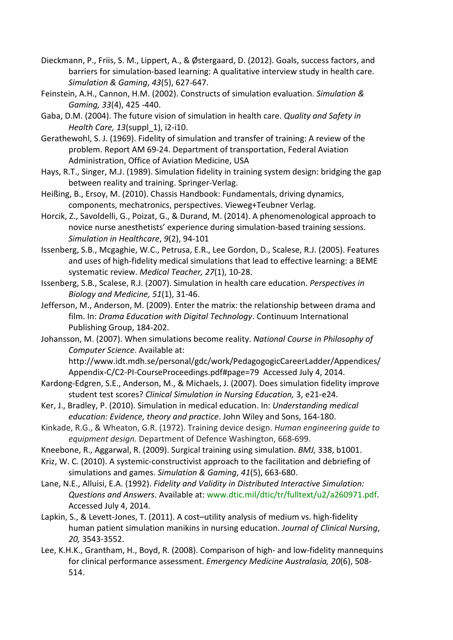- Dieckmann, P., Friis, S. M., Lippert, A., & Østergaard, D. (2012). Goals, success factors, and barriers for simulation-based learning: A qualitative interview study in health care. Simulation & Gaming, 43(5), 627-647.
- Feinstein, A.H., Cannon, H.M. (2002). Constructs of simulation evaluation. Simulation & Gaming, 33(4), 425 -440.
- Gaba, D.M. (2004). The future vision of simulation in health care. Quality and Safety in Health Care, 13(suppl 1), i2-i10.
- Gerathewohl, S. J. (1969). Fidelity of simulation and transfer of training: A review of the problem. Report AM 69-24. Department of transportation, Federal Aviation Administration, Office of Aviation Medicine, USA
- Hays, R.T., Singer, M.J. (1989). Simulation fidelity in training system design: bridging the gap between reality and training. Springer-Verlag.
- Heißing, B., Ersoy, M. (2010). Chassis Handbook: Fundamentals, driving dynamics, components, mechatronics, perspectives. Vieweg+Teubner Verlag.
- Horcik, Z., Savoldelli, G., Poizat, G., & Durand, M. (2014). A phenomenological approach to novice nurse anesthetists' experience during simulation-based training sessions. Simulation in Healthcare, 9(2), 94-101
- Issenberg, S.B., Mcgaghie, W.C., Petrusa, E.R., Lee Gordon, D., Scalese, R.J. (2005). Features and uses of high-fidelity medical simulations that lead to effective learning: a BEME systematic review. Medical Teacher, 27(1), 10-28.
- Issenberg, S.B., Scalese, R.J. (2007). Simulation in health care education. Perspectives in Biology and Medicine, 51(1), 31-46.
- Jefferson, M., Anderson, M. (2009). Enter the matrix: the relationship between drama and film. In: Drama Education with Digital Technology. Continuum International Publishing Group, 184-202.
- Johansson, M. (2007). When simulations become reality. National Course in Philosophy of Computer Science. Available at:

http://www.idt.mdh.se/personal/gdc/work/PedagogogicCareerLadder/Appendices/ Appendix-C/C2-PI-CourseProceedings.pdf#page=79 Accessed July 4, 2014.

- Kardong-Edgren, S.E., Anderson, M., & Michaels, J. (2007). Does simulation fidelity improve student test scores? Clinical Simulation in Nursing Education, 3, e21-e24.
- Ker, J., Bradley, P. (2010). Simulation in medical education. In: Understanding medical education: Evidence, theory and practice. John Wiley and Sons, 164-180.
- Kinkade, R.G., & Wheaton, G.R. (1972). Training device design. Human engineering guide to equipment design. Department of Defence Washington, 668-699.
- Kneebone, R., Aggarwal, R. (2009). Surgical training using simulation. BMJ, 338, b1001.
- Kriz, W. C. (2010). A systemic-constructivist approach to the facilitation and debriefing of simulations and games. Simulation & Gaming, 41(5), 663-680.
- Lane, N.E., Alluisi, E.A. (1992). Fidelity and Validity in Distributed Interactive Simulation: Questions and Answers. Available at: www.dtic.mil/dtic/tr/fulltext/u2/a260971.pdf. Accessed July 4, 2014.
- Lapkin, S., & Levett-Jones, T. (2011). A cost–utility analysis of medium vs. high-fidelity human patient simulation manikins in nursing education. Journal of Clinical Nursing, 20, 3543-3552.
- Lee, K.H.K., Grantham, H., Boyd, R. (2008). Comparison of high- and low-fidelity mannequins for clinical performance assessment. Emergency Medicine Australasia, 20(6), 508- 514.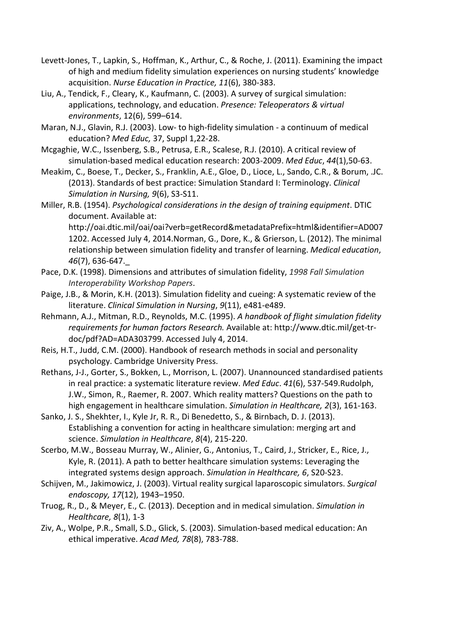- Levett-Jones, T., Lapkin, S., Hoffman, K., Arthur, C., & Roche, J. (2011). Examining the impact of high and medium fidelity simulation experiences on nursing students' knowledge acquisition. Nurse Education in Practice, 11(6), 380-383.
- Liu, A., Tendick, F., Cleary, K., Kaufmann, C. (2003). A survey of surgical simulation: applications, technology, and education. Presence: Teleoperators & virtual environments, 12(6), 599–614.
- Maran, N.J., Glavin, R.J. (2003). Low- to high-fidelity simulation a continuum of medical education? Med Educ, 37, Suppl 1,22-28.
- Mcgaghie, W.C., Issenberg, S.B., Petrusa, E.R., Scalese, R.J. (2010). A critical review of simulation-based medical education research: 2003-2009. Med Educ, 44(1),50-63.
- Meakim, C., Boese, T., Decker, S., Franklin, A.E., Gloe, D., Lioce, L., Sando, C.R., & Borum, .JC. (2013). Standards of best practice: Simulation Standard I: Terminology. Clinical Simulation in Nursing, 9(6), S3-S11.
- Miller, R.B. (1954). Psychological considerations in the design of training equipment. DTIC document. Available at:

http://oai.dtic.mil/oai/oai?verb=getRecord&metadataPrefix=html&identifier=AD007 1202. Accessed July 4, 2014.Norman, G., Dore, K., & Grierson, L. (2012). The minimal relationship between simulation fidelity and transfer of learning. Medical education, 46(7), 636-647.\_

- Pace, D.K. (1998). Dimensions and attributes of simulation fidelity, 1998 Fall Simulation Interoperability Workshop Papers.
- Paige, J.B., & Morin, K.H. (2013). Simulation fidelity and cueing: A systematic review of the literature. Clinical Simulation in Nursing, 9(11), e481-e489.
- Rehmann, A.J., Mitman, R.D., Reynolds, M.C. (1995). A handbook of flight simulation fidelity requirements for human factors Research. Available at: http://www.dtic.mil/get-trdoc/pdf?AD=ADA303799. Accessed July 4, 2014.
- Reis, H.T., Judd, C.M. (2000). Handbook of research methods in social and personality psychology. Cambridge University Press.
- Rethans, J-J., Gorter, S., Bokken, L., Morrison, L. (2007). Unannounced standardised patients in real practice: a systematic literature review. Med Educ. 41(6), 537-549.Rudolph, J.W., Simon, R., Raemer, R. 2007. Which reality matters? Questions on the path to high engagement in healthcare simulation. Simulation in Healthcare, 2(3), 161-163.
- Sanko, J. S., Shekhter, I., Kyle Jr, R. R., Di Benedetto, S., & Birnbach, D. J. (2013). Establishing a convention for acting in healthcare simulation: merging art and science. Simulation in Healthcare, 8(4), 215-220.
- Scerbo, M.W., Bosseau Murray, W., Alinier, G., Antonius, T., Caird, J., Stricker, E., Rice, J., Kyle, R. (2011). A path to better healthcare simulation systems: Leveraging the integrated systems design approach. Simulation in Healthcare, 6, S20-S23.
- Schijven, M., Jakimowicz, J. (2003). Virtual reality surgical laparoscopic simulators. Surgical endoscopy, 17(12), 1943–1950.
- Truog, R., D., & Meyer, E., C. (2013). Deception and in medical simulation. Simulation in Healthcare, 8(1), 1-3
- Ziv, A., Wolpe, P.R., Small, S.D., Glick, S. (2003). Simulation-based medical education: An ethical imperative. Acad Med, 78(8), 783-788.